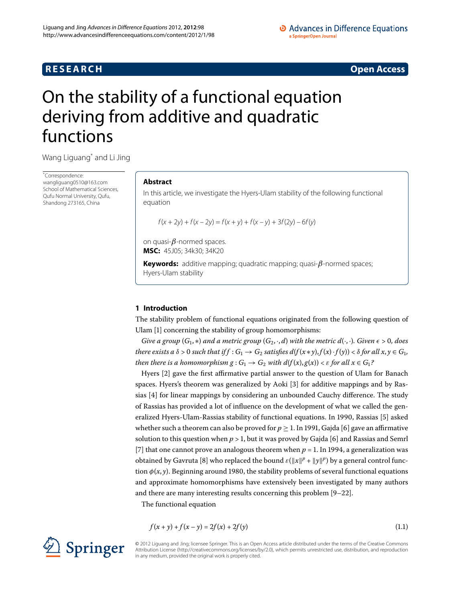# **RESEARCH CONSTRUCTER ACCESS**

# <span id="page-0-0"></span>On the stability of a functional equation deriving from additive and quadratic functions

Wang Liguan[g\\*](#page-0-0) and Li Jing

\* Correspondence: [wangliguang0510@163.com](mailto:wangliguang0510@163.com) School of Mathematical Sciences, Qufu Normal University, Qufu, Shandong 273165, China

# **Abstract**

In this article, we investigate the Hyers-Ulam stability of the following functional equation

 $f(x + 2y) + f(x - 2y) = f(x + y) + f(x - y) + 3f(2y) - 6f(y)$ 

on quasi-*β*-normed spaces. **MSC:** 45J05; 34k30; 34K20

**Keywords:** additive mapping; quadratic mapping; quasi-*β*-normed spaces; Hyers-Ulam stability

# **1 Introduction**

The stability problem of functional equations originated from the following question of Ulam [\[](#page-10-0)1] concerning the stability of group homomorphisms:

*Give a group*  $(G_1,*)$  *and a metric group*  $(G_2, \cdot, d)$  *with the metric*  $d(\cdot, \cdot)$ *. Given*  $\epsilon > 0$ *, does* there exists a  $\delta > 0$  such that if  $f : G_1 \to G_2$  satisfies  $d(f(x * y), f(x) \cdot f(y)) < \delta$  for all  $x, y \in G_1$ , *then there is a homomorphism*  $g: G_1 \rightarrow G_2$  *with*  $d(f(x), g(x)) < \varepsilon$  *for all*  $x \in G_1$ *?* 

Hyers [\[](#page-10-1)2] gave the first affirmative partial answer to the question of Ulam for Banach spaces. Hyers's theorem was generalized by Aoki [\[](#page-10-2)3] for additive mappings and by Rassias  $[4]$  $[4]$  for linear mappings by considering an unbounded Cauchy difference. The study of Rassias has provided a lot of influence on the development of what we called the gen-eralized Hyers-Ulam-Rassias stability of functional equations. In 1990, Rassias [\[](#page-10-4)5] asked whether such a theorem can also be proved for  $p > 1$ . In 1991, Gajda [6] gave an affirmative solution to this question when  $p > 1$ , but it was proved by Gajda [6] and Rassias and Semrl [7] that one cannot prove an analogous theorem when  $p = 1$ . In 1994, a generalization was obtained by Gavruta [\[](#page-10-7)8] who replaced the bound  $\varepsilon(\|x\|^p + \|y\|^p)$  by a general control function  $\phi(x, y)$ . Beginning around 1980, the stability problems of several functional equations and approximate homomorphisms have extensively been investigated by many authors and there are many interesting results concerning this problem  $[9-22]$ .

The functional equation

<span id="page-0-1"></span>
$$
f(x + y) + f(x - y) = 2f(x) + 2f(y)
$$
\n(1.1)



© 2012 Liguang and Jing; licensee Springer. This is an Open Access article distributed under the terms of the Creative Commons Attribution License [\(http://creativecommons.org/licenses/by/2.0](http://creativecommons.org/licenses/by/2.0)), which permits unrestricted use, distribution, and reproduction in any medium, provided the original work is properly cited.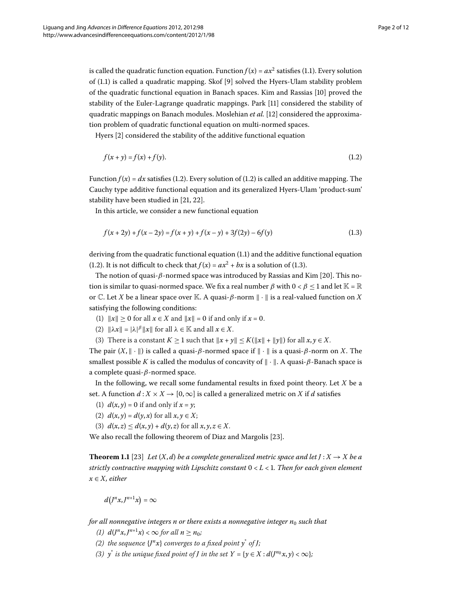is called the quadratic function equation. Function  $f(x) = ax^2$  satisfies (1.1). Every solution of  $(1.1)$  $(1.1)$  $(1.1)$  is called a quadratic mapping. Skof [9] solved the Hyers-Ulam stability problem of the quadratic functional equation in Banach spaces. Kim and Rassias [10[\]](#page-10-9) proved the stability of the Euler-Lagrange quadratic mappings. Park [11] considered the stability of quadratic mappings on Banach modules. Moslehian *et al.* [12] considered the approximation problem of quadratic functional equation on multi-normed spaces.

<span id="page-1-0"></span>Hyers [2[\]](#page-10-1) considered the stability of the additive functional equation

<span id="page-1-1"></span>
$$
f(x + y) = f(x) + f(y). \tag{1.2}
$$

Function  $f(x) = dx$  satisfies (1[.](#page-1-0)2). Every solution of (1.2) is called an additive mapping. The Cauchy type additive functional equation and its generalized Hyers-Ulam 'product-sum' stability have been studied in  $[21, 22]$  $[21, 22]$  $[21, 22]$ .

In this article, we consider a new functional equation

$$
f(x+2y) + f(x-2y) = f(x+y) + f(x-y) + 3f(2y) - 6f(y)
$$
\n(1.3)

deriving from the quadratic functional equation  $(1.1)$  and the additive functional equation (1[.](#page-1-0)2). It is not difficult to check that  $f(x) = ax^2 + bx$  is a solution of (1.3).

The notion of quasi-*β*-normed space was introduced by Rassias and Kim [20]. This notion is similar to quasi-normed space. We fix a real number  $\beta$  with  $0 < \beta \leq 1$  and let  $\mathbb{K} = \mathbb{R}$ or C. Let *X* be a linear space over K. A quasi- $\beta$ -norm  $\|\cdot\|$  is a real-valued function on *X* satisfying the following conditions:

- (1)  $\|x\| > 0$  for all  $x \in X$  and  $\|x\| = 0$  if and only if  $x = 0$ .
- (2)  $\|\lambda x\| = |\lambda|^{\beta} \|x\|$  for all  $\lambda \in \mathbb{K}$  and all  $x \in X$ .
- (3) There is a constant  $K \geq 1$  such that  $||x + y|| \leq K(||x|| + ||y||)$  for all  $x, y \in X$ .

The pair  $(X, \|\cdot\|)$  is called a quasi- $\beta$ -normed space if  $\|\cdot\|$  is a quasi- $\beta$ -norm on X. The smallest possible *K* is called the modulus of concavity of  $\|\cdot\|$ . A quasi- $\beta$ -Banach space is a complete quasi-*β*-normed space.

<span id="page-1-2"></span>In the following, we recall some fundamental results in fixed point theory. Let *X* be a set. A function  $d: X \times X \rightarrow [0, \infty]$  is called a generalized metric on *X* if *d* satisfies

- (1)  $d(x, y) = 0$  if and only if  $x = y$ ;
- (2)  $d(x, y) = d(y, x)$  for all  $x, y \in X$ ;
- (3)  $d(x, z) \leq d(x, y) + d(y, z)$  for all  $x, y, z \in X$ .

We also recall the following theorem of Diaz and Margolis [\[](#page-11-3)23].

**Theorem 1.1** [\[](#page-11-3)23] *Let*  $(X, d)$  *be a complete generalized metric space and let*  $J: X \rightarrow X$  *<i>be a strictly contractive mapping with Lipschitz constant* < *L* < *. Then for each given element x* ∈ *X, either*

$$
d(J^nx,J^{n+1}x)=\infty
$$

*for all nonnegative integers n or there exists a nonnegative integer n<sub>0</sub> such that* 

- *(1)*  $d(J^n x, J^{n+1} x) < \infty$  for all  $n \ge n_0$ ;
- *(2)* the sequence  $\{J^n x\}$  converges to a fixed point  $y^*$  of *J*;
- *(3)*  $y^*$  *is the unique fixed point of <i>J in the set*  $Y = \{y \in X : d(J^{n_0}x, y) < \infty\}$ ;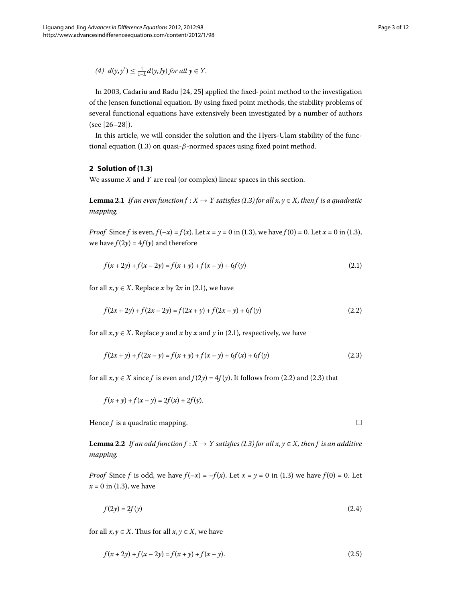<span id="page-2-3"></span><span id="page-2-2"></span><span id="page-2-1"></span> $\Box$ 

*(4)*  $d(y, y^*) \leq \frac{1}{1-L} d(y, Jy)$  *for all*  $y \in Y$ *.* 

In 2003[,](#page-11-4) Cadariu and Radu  $[24, 25]$  applied the fixed-point method to the investigation of the Jensen functional equation. By using fixed point methods, the stability problems of several functional equations have extensively been investigated by a number of authors  $(see [26-28]).$  $(see [26-28]).$  $(see [26-28]).$ 

<span id="page-2-4"></span>In this article, we will consider the solution and the Hyers-Ulam stability of the functional equation (1.3) on quasi- $\beta$ -normed spaces using fixed point method.

## **2 Solution of [\(1.3](#page-1-1))**

We assume *X* and *Y* are real (or complex) linear spaces in this section.

**Lemma 2.1** *If an even function*  $f : X \to Y$  *satisfies (1.3) for all*  $x, y \in X$ *, then f is a quadratic mapping.*

*Proof* Since *f* is even,  $f(-x) = f(x)$ . Let  $x = y = 0$  in (1.3), we have  $f(0) = 0$ . Let  $x = 0$  in (1.3), we have  $f(2y) = 4f(y)$  and therefore

<span id="page-2-0"></span>
$$
f(x+2y) + f(x-2y) = f(x+y) + f(x-y) + 6f(y)
$$
\n(2.1)

for all  $x, y \in X$ [.](#page-2-0) Replace *x* by 2*x* in (2.1), we have

$$
f(2x+2y) + f(2x-2y) = f(2x+y) + f(2x-y) + 6f(y)
$$
\n(2.2)

for all  $x, y \in X$ . Replace *y* and *x* by *x* and *y* in (2.1), respectively, we have

$$
f(2x + y) + f(2x - y) = f(x + y) + f(x - y) + 6f(x) + 6f(y)
$$
\n(2.3)

<span id="page-2-5"></span>for all  $x, y \in X$  since f is even and  $f(2y) = 4f(y)$ [.](#page-2-2) It follows from (2.2) and (2.3) that

$$
f(x + y) + f(x - y) = 2f(x) + 2f(y).
$$

Hence *f* is a quadratic mapping.

**Lemma 2[.](#page-1-1)2** *If an odd function f* :  $X \to Y$  *satisfies (1.3) for all x, y*  $\in X$ *, then f is an additive mapping.*

*Proof* Since *f* is odd, we have  $f(-x) = -f(x)$ . Let  $x = y = 0$  in (1.3) we have  $f(0) = 0$ . Let  $x = 0$  in (1.3), we have

$$
f(2y) = 2f(y) \tag{2.4}
$$

for all  $x, y \in X$ . Thus for all  $x, y \in X$ , we have

$$
f(x+2y) + f(x-2y) = f(x+y) + f(x-y).
$$
 (2.5)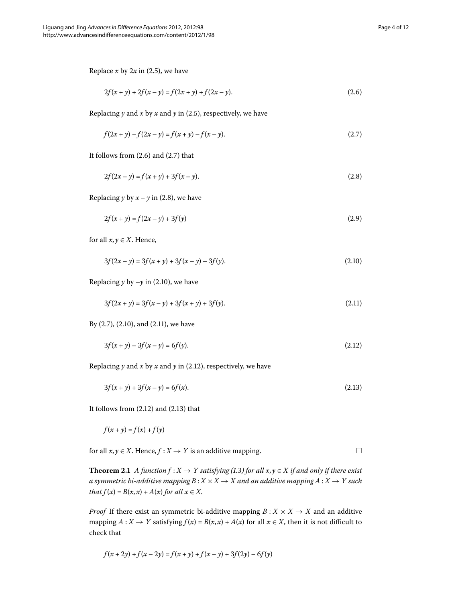Replace  $x$  by  $2x$  in (2.5), we have

<span id="page-3-2"></span><span id="page-3-1"></span><span id="page-3-0"></span>
$$
2f(x+y) + 2f(x-y) = f(2x+y) + f(2x-y).
$$
\n(2.6)

Replacing  $y$  and  $x$  by  $x$  and  $y$  in (2.5), respectively, we have

$$
f(2x + y) - f(2x - y) = f(x + y) - f(x - y).
$$
\n(2.7)

It follows from  $(2.6)$  and  $(2.7)$  that

<span id="page-3-3"></span>
$$
2f(2x - y) = f(x + y) + 3f(x - y).
$$
\n(2.8)

Replacing *y* by  $x - y$  in (2.8), we have

$$
2f(x + y) = f(2x - y) + 3f(y)
$$
\n(2.9)

for all  $x, y \in X$ . Hence,

<span id="page-3-5"></span><span id="page-3-4"></span>
$$
3f(2x - y) = 3f(x + y) + 3f(x - y) - 3f(y).
$$
\n(2.10)

Replacing  $y$  by  $-y$  in (2[.](#page-3-3)10), we have

<span id="page-3-6"></span>
$$
3f(2x + y) = 3f(x - y) + 3f(x + y) + 3f(y).
$$
\n(2.11)

By  $(2.7)$ ,  $(2.10)$ , and  $(2.11)$ , we have

$$
3f(x + y) - 3f(x - y) = 6f(y). \tag{2.12}
$$

Replacing  $y$  and  $x$  by  $x$  and  $y$  in (2.12), respectively, we have

$$
3f(x+y) + 3f(x-y) = 6f(x). \tag{2.13}
$$

It follows from  $(2.12)$  $(2.12)$  $(2.12)$  and  $(2.13)$  that

$$
f(x + y) = f(x) + f(y)
$$

for all  $x, y \in X$ . Hence,  $f: X \to Y$  is an additive mapping.

**Theorem 2.1** *A function f* :  $X \rightarrow Y$  *satisfying (1.3) for all x, y*  $\in X$  *if and only if there exist a symmetric bi-additive mapping*  $B: X \times X \rightarrow X$  and an additive mapping  $A: X \rightarrow Y$  such *that*  $f(x) = B(x, x) + A(x)$  *for all*  $x \in X$ .

*Proof* If there exist an symmetric bi-additive mapping  $B: X \times X \rightarrow X$  and an additive mapping  $A: X \to Y$  satisfying  $f(x) = B(x, x) + A(x)$  for all  $x \in X$ , then it is not difficult to check that

$$
f(x+2y) + f(x-2y) = f(x+y) + f(x-y) + 3f(2y) - 6f(y)
$$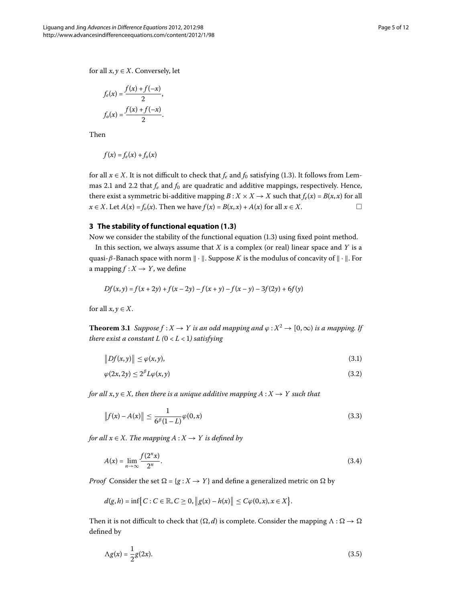for all  $x, y \in X$ . Conversely, let

$$
f_e(x) = \frac{f(x) + f(-x)}{2},
$$
  

$$
f_o(x) = \frac{f(x) + f(-x)}{2}.
$$

Then

$$
f(x) = f_e(x) + f_o(x)
$$

for all  $x \in X$ [.](#page-1-1) It is not difficult to check that  $f_e$  and  $f_0$  satisfying (1.3). It follows from Lem-mas 2[.](#page-2-5)1 and 2.2 that  $f_e$  and  $f_0$  are quadratic and additive mappings, respectively. Hence, there exist a symmetric bi-additive mapping  $B: X \times X \rightarrow X$  such that  $f_e(x) = B(x, x)$  for all  $x \in X$ . Let  $A(x) = f_0(x)$ . Then we have  $f(x) = B(x, x) + A(x)$  for all  $x \in X$ .

# **3 The stability of functional equation [\(1.3](#page-1-1))**

Now we consider the stability of the functional equation  $(1.3)$  $(1.3)$  $(1.3)$  using fixed point method.

<span id="page-4-2"></span>In this section, we always assume that *X* is a complex (or real) linear space and *Y* is a quasi- $\beta$ -Banach space with norm  $\|\cdot\|$ . Suppose *K* is the modulus of concavity of  $\|\cdot\|$ . For a mapping  $f: X \to Y$ , we define

$$
Df(x, y) = f(x + 2y) + f(x - 2y) - f(x + y) - f(x - y) - 3f(2y) + 6f(y)
$$

<span id="page-4-0"></span>for all  $x, y \in X$ .

**Theorem 3.1** Suppose  $f : X \to Y$  is an odd mapping and  $\varphi : X^2 \to [0, \infty)$  is a mapping. If *there exist a constant L*  $(0 < L < 1)$  *satisfying* 

<span id="page-4-1"></span>
$$
||Df(x,y)|| \le \varphi(x,y),\tag{3.1}
$$

$$
\varphi(2x, 2y) \le 2^{\beta} L \varphi(x, y) \tag{3.2}
$$

*for all*  $x, y \in X$ *, then there is a unique additive mapping*  $A: X \rightarrow Y$  such that

$$
||f(x) - A(x)|| \le \frac{1}{6^{\beta}(1-L)} \varphi(0, x)
$$
\n(3.3)

*for all*  $x \in X$ *. The mapping*  $A: X \rightarrow Y$  *is defined by* 

$$
A(x) = \lim_{n \to \infty} \frac{f(2^n x)}{2^n}.
$$
\n
$$
(3.4)
$$

*Proof* Consider the set  $\Omega = \{g : X \to Y\}$  and define a generalized metric on  $\Omega$  by

$$
d(g, h) = \inf \{ C : C \in \mathbb{R}, C \ge 0, ||g(x) - h(x)|| \le C\varphi(0, x), x \in X \}.
$$

Then it is not difficult to check that  $(\Omega, d)$  is complete. Consider the mapping  $\Lambda : \Omega \to \Omega$ defined by

$$
\Lambda g(x) = \frac{1}{2}g(2x). \tag{3.5}
$$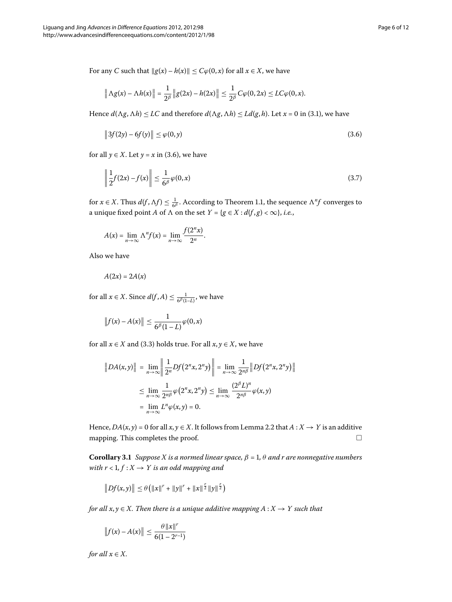For any *C* such that  $||g(x) - h(x)|| \leq C\varphi(0, x)$  for all  $x \in X$ , we have

<span id="page-5-0"></span>
$$
\left\|\Lambda g(x)-\Lambda h(x)\right\|=\frac{1}{2^{\beta}}\left\|g(2x)-h(2x)\right\|\leq \frac{1}{2^{\beta}}C\varphi(0,2x)\leq LC\varphi(0,x).
$$

Hence  $d(\Lambda g, \Lambda h) \le LC$  and therefore  $d(\Lambda g, \Lambda h) \le Ld(g, h)$ . Let  $x = 0$  in (3.1), we have

$$
\|3f(2y) - 6f(y)\| \le \varphi(0, y) \tag{3.6}
$$

for all  $y \in X$ . Let  $y = x$  in (3.6), we have

$$
\left\| \frac{1}{2} f(2x) - f(x) \right\| \le \frac{1}{6^{\beta}} \varphi(0, x) \tag{3.7}
$$

for  $x \in X$ [.](#page-1-2) Thus  $d(f, \Lambda f) \leq \frac{1}{6^{\beta}}$ . According to Theorem 1.1, the sequence  $\Lambda^n f$  converges to a unique fixed point *A* of  $\Lambda$  on the set  $Y = \{g \in X : d(f, g) < \infty\}, i.e.,$ 

$$
A(x) = \lim_{n \to \infty} \Lambda^n f(x) = \lim_{n \to \infty} \frac{f(2^n x)}{2^n}.
$$

Also we have

$$
A(2x)=2A(x)
$$

for all  $x \in X$ . Since  $d(f, A) \leq \frac{1}{6^{\beta}(1-L)}$ , we have

$$
\|f(x)-A(x)\| \leq \frac{1}{6^{\beta}(1-L)}\varphi(0,x)
$$

for all  $x \in X$  and (3.3) holds true. For all  $x, y \in X$ , we have

<span id="page-5-1"></span>
$$
||DA(x,y)|| = \lim_{n \to \infty} \left\| \frac{1}{2^n} Df(2^n x, 2^n y) \right\| = \lim_{n \to \infty} \frac{1}{2^{n\beta}} ||Df(2^n x, 2^n y)||
$$
  

$$
\leq \lim_{n \to \infty} \frac{1}{2^{n\beta}} \varphi(2^n x, 2^n y) \leq \lim_{n \to \infty} \frac{(2^{\beta} L)^n}{2^{n\beta}} \varphi(x, y)
$$
  

$$
= \lim_{n \to \infty} L^n \varphi(x, y) = 0.
$$

Hence,  $DA(x, y) = 0$  for all  $x, y \in X$ [.](#page-2-5) It follows from Lemma 2.2 that  $A: X \to Y$  is an additive mapping. This completes the proof.  $\Box$ 

**Corollary 3.1** *Suppose X is a normed linear space,*  $\beta = 1$ ,  $\theta$  *and r are nonnegative numbers with*  $r < 1, f: X \rightarrow Y$  *is an odd mapping and* 

$$
||Df(x,y)|| \leq \theta (||x||^r + ||y||^r + ||x||^{\frac{r}{2}} ||y||^{\frac{r}{2}})
$$

*for all*  $x, y \in X$ . Then there is a unique additive mapping  $A: X \rightarrow Y$  such that

$$
||f(x) - A(x)|| \leq \frac{\theta ||x||^r}{6(1 - 2^{r-1})}
$$

*for all*  $x \in X$ *.*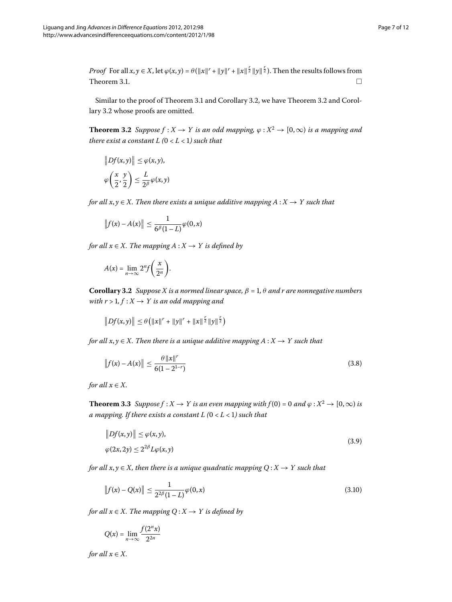<span id="page-6-1"></span>*Proof* For all  $x, y \in X$ , let  $\varphi(x, y) = \theta(||x||^r + ||y||^r + ||x||^{\frac{r}{2}}||y||^{\frac{r}{2}})$ . Then the results follows from Theorem 3[.](#page-4-2)1.  $\Box$ 

Similar to the proof of Theorem 3[.](#page-6-1)1 and Corollary 3.2, we have Theorem 3.2 and Corol-lary 3[.](#page-6-0)2 whose proofs are omitted.

**Theorem 3.2** Suppose  $f : X \to Y$  is an odd mapping,  $\varphi : X^2 \to [0, \infty)$  is a mapping and *there exist a constant L*  $(0 < L < 1)$  *such that* 

$$
||Df(x,y)|| \leq \varphi(x,y),
$$
  

$$
\varphi\left(\frac{x}{2},\frac{y}{2}\right) \leq \frac{L}{2^{\beta}}\varphi(x,y)
$$

<span id="page-6-0"></span>*for all*  $x, y \in X$ *. Then there exists a unique additive mapping*  $A: X \rightarrow Y$  *such that* 

$$
\|f(x)-A(x)\| \leq \frac{1}{6^{\beta}(1-L)}\varphi(0,x)
$$

*for all*  $x \in X$ *. The mapping*  $A: X \rightarrow Y$  *is defined by* 

$$
A(x) = \lim_{n \to \infty} 2^n f\left(\frac{x}{2^n}\right).
$$

**Corollary 3.2** *Suppose X is a normed linear space,*  $\beta = 1$ ,  $\theta$  *and r are nonnegative numbers with r* > 1,  $f: X \rightarrow Y$  *is an odd mapping and* 

 $||Df(x,y)|| \leq \theta(||x||^r + ||y||^r + ||x||^{\frac{r}{2}}||y||^{\frac{r}{2}})$ 

<span id="page-6-3"></span>*for all*  $x, y \in X$ . Then there is a unique additive mapping  $A: X \rightarrow Y$  such that

<span id="page-6-2"></span>
$$
||f(x) - A(x)|| \le \frac{\theta ||x||^r}{6(1 - 2^{1-r})}
$$
\n(3.8)

*for all*  $x \in X$ *.* 

**Theorem 3.3** Suppose  $f : X \to Y$  is an even mapping with  $f(0) = 0$  and  $\varphi : X^2 \to [0, \infty)$  is *a mapping. If there exists a constant L*  $(0 < L < 1)$  such that

$$
||Df(x,y)|| \le \varphi(x,y),
$$
  
 
$$
\varphi(2x,2y) \le 2^{2\beta}L\varphi(x,y)
$$
 (3.9)

*for all*  $x, y \in X$ *, then there is a unique quadratic mapping*  $Q: X \rightarrow Y$  such that

$$
||f(x) - Q(x)|| \le \frac{1}{2^{2\beta}(1 - L)} \varphi(0, x)
$$
\n(3.10)

*for all*  $x \in X$ *. The mapping*  $Q: X \rightarrow Y$  *is defined by* 

$$
Q(x) = \lim_{n \to \infty} \frac{f(2^n x)}{2^{2n}}
$$

*for all*  $x \in X$ *.*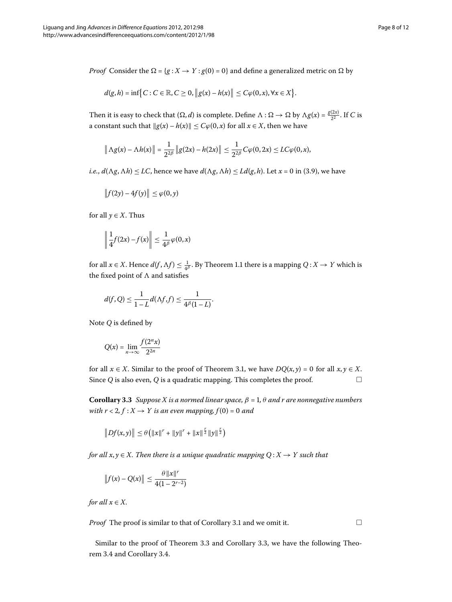*Proof* Consider the  $\Omega = \{g : X \to Y : g(0) = 0\}$  and define a generalized metric on  $\Omega$  by

$$
d(g,h)=\inf\bigl\{C:C\in\mathbb{R},C\geq 0,\bigl\|g(x)-h(x)\bigr\|\leq C\varphi(0,x),\forall x\in X\bigr\}.
$$

Then it is easy to check that  $(\Omega, d)$  is complete. Define  $\Lambda : \Omega \to \Omega$  by  $\Lambda g(x) = \frac{g(2x)}{2^2}$ . If *C* is a constant such that  $||g(x) - h(x)|| \le C\varphi(0, x)$  for all  $x \in X$ , then we have

$$
\|\Lambda g(x) - \Lambda h(x)\| = \frac{1}{2^{2\beta}}\|g(2x) - h(2x)\| \le \frac{1}{2^{2\beta}}C\varphi(0, 2x) \le LC\varphi(0, x),
$$

*i[.](#page-6-2)e.*,  $d(\Lambda g, \Lambda h) \leq LC$ , hence we have  $d(\Lambda g, \Lambda h) \leq Ld(g, h)$ . Let  $x = 0$  in (3.9), we have

$$
\|f(2y)-4f(y)\|\leq \varphi(0,y)
$$

for all  $y \in X$ . Thus

$$
\left\|\frac{1}{4}f(2x)-f(x)\right\|\leq \frac{1}{4^{\beta}}\varphi(0,x)
$$

for all  $x \in X$ [.](#page-1-2) Hence  $d(f, \Lambda f) \leq \frac{1}{4^{\beta}}$ . By Theorem 1.1 there is a mapping  $Q: X \to Y$  which is the fixed point of  and satisfies

$$
d(f,Q) \leq \frac{1}{1-L}d(\Lambda f,f) \leq \frac{1}{4^{\beta}(1-L)}.
$$

<span id="page-7-0"></span>Note *Q* is defined by

$$
Q(x) = \lim_{n \to \infty} \frac{f(2^n x)}{2^{2n}}
$$

for all  $x \in X$ . Similar to the proof of Theorem 3.1, we have  $DQ(x, y) = 0$  for all  $x, y \in X$ . Since  $Q$  is also even,  $Q$  is a quadratic mapping. This completes the proof.  $\Box$ 

**Corollary 3.3** Suppose X is a normed linear space,  $\beta = 1$ ,  $\theta$  and r are nonnegative numbers *with r* < 2,  $f: X \rightarrow Y$  *is an even mapping,*  $f(0) = 0$  *and* 

$$
||Df(x,y)|| \leq \theta (||x||^{r} + ||y||^{r} + ||x||^{\frac{r}{2}} ||y||^{\frac{r}{2}})
$$

*for all*  $x, y \in X$ . Then there is a unique quadratic mapping  $Q: X \rightarrow Y$  such that

$$
||f(x) - Q(x)|| \le \frac{\theta ||x||^r}{4(1 - 2^{r-2})}
$$

*for all*  $x \in X$ *.* 

*Proof* The proof is similar to that of Corollary 3[.](#page-5-1)1 and we omit it.

 $\Box$ 

Similar to the proof of Theorem 3[.](#page-7-0)3 and Corollary 3.3, we have the following Theo-rem 3[.](#page-8-1)4 and Corollary 3.4.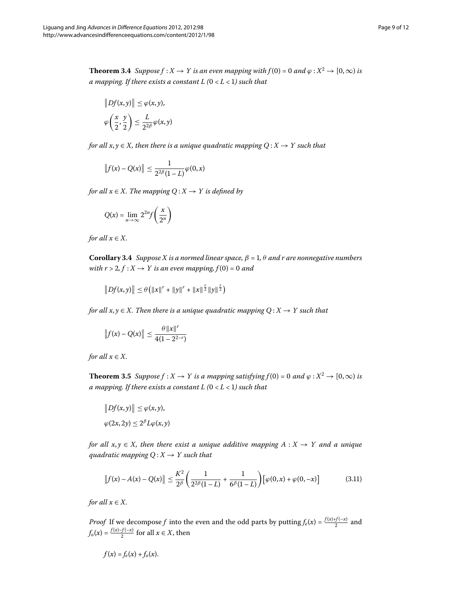<span id="page-8-0"></span>**Theorem 3.4** Suppose  $f : X \to Y$  is an even mapping with  $f(0) = 0$  and  $\varphi : X^2 \to [0, \infty)$  is *a mapping. If there exists a constant L*  $(0 < L < 1)$  such that

$$
||Df(x, y)|| \leq \varphi(x, y),
$$
  

$$
\varphi\left(\frac{x}{2}, \frac{y}{2}\right) \leq \frac{L}{2^{2\beta}}\varphi(x, y)
$$

*for all x, y*  $\in$  *X, then there is a unique quadratic mapping Q :*  $X \rightarrow Y$  *such that* 

$$
\|f(x)-Q(x)\|\leq \frac{1}{2^{2\beta}(1-L)}\varphi(0,x)
$$

<span id="page-8-1"></span>*for all*  $x \in X$ *. The mapping*  $Q: X \rightarrow Y$  *is defined by* 

$$
Q(x) = \lim_{n \to \infty} 2^{2n} f\left(\frac{x}{2^n}\right)
$$

*for all*  $x \in X$ *.* 

**Corollary 3.4** *Suppose X is a normed linear space,*  $\beta = 1$ ,  $\theta$  *and r are nonnegative numbers with r* > 2,  $f : X \rightarrow Y$  *is an even mapping,*  $f(0) = 0$  *and* 

$$
\|Df(x,y)\| \leq \theta \left( \|x\|^r + \|y\|^r + \|x\|^{\frac{r}{2}} \|y\|^{\frac{r}{2}} \right)
$$

<span id="page-8-2"></span>*for all*  $x, y \in X$ . Then there is a unique quadratic mapping  $Q: X \to Y$  such that

$$
||f(x) - Q(x)|| \le \frac{\theta ||x||^r}{4(1 - 2^{2-r})}
$$

*for all*  $x \in X$ *.* 

**Theorem 3.5** Suppose  $f : X \to Y$  is a mapping satisfying  $f(0) = 0$  and  $\varphi : X^2 \to [0, \infty)$  is *a mapping. If there exists a constant L*  $(0 < L < 1)$  such that

$$
||Df(x, y)|| \leq \varphi(x, y),
$$
  

$$
\varphi(2x, 2y) \leq 2^{\beta}L\varphi(x, y)
$$

*for all*  $x, y \in X$ *, then there exist a unique additive mapping*  $A: X \rightarrow Y$  *and a unique guadratic mapping*  $Q: X \rightarrow Y$  *such that* 

$$
\|f(x) - A(x) - Q(x)\| \le \frac{K^2}{2^{\beta}} \left(\frac{1}{2^{2\beta}(1-L)} + \frac{1}{6^{\beta}(1-L)}\right) \left[\varphi(0,x) + \varphi(0,-x)\right]
$$
(3.11)

*for all*  $x \in X$ *.* 

*Proof* If we decompose *f* into the even and the odd parts by putting  $f_e(x) = \frac{f(x)+f(-x)}{2}$  and  $f_o(x) = \frac{f(x) - f(-x)}{2}$  for all  $x \in X$ , then

$$
f(x) = f_e(x) + f_o(x).
$$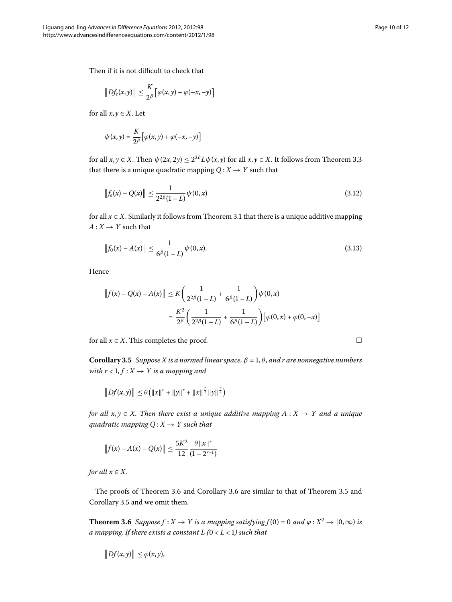Then if it is not difficult to check that

$$
||Df_e(x,y)|| \leq \frac{K}{2^{\beta}} [\varphi(x,y) + \varphi(-x,-y)]
$$

for all  $x, y \in X$ . Let

$$
\psi(x,y) = \frac{K}{2^{\beta}} \big[ \varphi(x,y) + \varphi(-x,-y) \big]
$$

for all  $x, y \in X$ [.](#page-6-3) Then  $\psi(2x, 2y) \leq 2^{2\beta} L \psi(x, y)$  for all  $x, y \in X$ . It follows from Theorem 3.3 that there is a unique quadratic mapping  $Q: X \rightarrow Y$  such that

$$
\|f_e(x) - Q(x)\| \le \frac{1}{2^{2\beta}(1-L)} \psi(0,x) \tag{3.12}
$$

for all  $x \in X$ [.](#page-4-2) Similarly it follows from Theorem 3.1 that there is a unique additive mapping  $A: X \rightarrow Y$  such that

$$
\|f_0(x) - A(x)\| \le \frac{1}{6^{\beta}(1-L)} \psi(0, x). \tag{3.13}
$$

<span id="page-9-1"></span>Hence

$$
||f(x) - Q(x) - A(x)|| \le K \left(\frac{1}{2^{2\beta}(1-L)} + \frac{1}{6^{\beta}(1-L)}\right) \psi(0, x)
$$
  
=  $\frac{K^2}{2^{\beta}} \left(\frac{1}{2^{2\beta}(1-L)} + \frac{1}{6^{\beta}(1-L)}\right) \left[\varphi(0, x) + \varphi(0, -x)\right]$ 

for all  $x \in X$ . This completes the proof.

**Corollary 3.5** Suppose X is a normed linear space,  $\beta = 1$ ,  $\theta$ , and r are nonnegative numbers *with*  $r < 1, f: X \rightarrow Y$  *is a mapping and* 

$$
||Df(x,y)|| \leq \theta (||x||^{r} + ||y||^{r} + ||x||^{\frac{r}{2}} ||y||^{\frac{r}{2}})
$$

*for all*  $x, y \in X$ . Then there exist a unique additive mapping  $A: X \rightarrow Y$  and a unique *quadratic mapping*  $Q: X \rightarrow Y$  *such that* 

$$
||f(x) - A(x) - Q(x)|| \le \frac{5K^2}{12} \frac{\theta ||x||^r}{(1 - 2^{r-1})}
$$

<span id="page-9-0"></span>*for all*  $x \in X$ *.* 

The proofs of Theorem 3[.](#page-8-2)6 and Corollary 3.6 are similar to that of Theorem 3.5 and Corollary 3[.](#page-9-1)5 and we omit them.

**Theorem 3.6** Suppose  $f : X \to Y$  is a mapping satisfying  $f(0) = 0$  and  $\varphi : X^2 \to [0, \infty)$  is *a* mapping. If there exists a constant L ( $0 < L < 1$ ) such that

$$
||Df(x,y)|| \leq \varphi(x,y),
$$

 $\Box$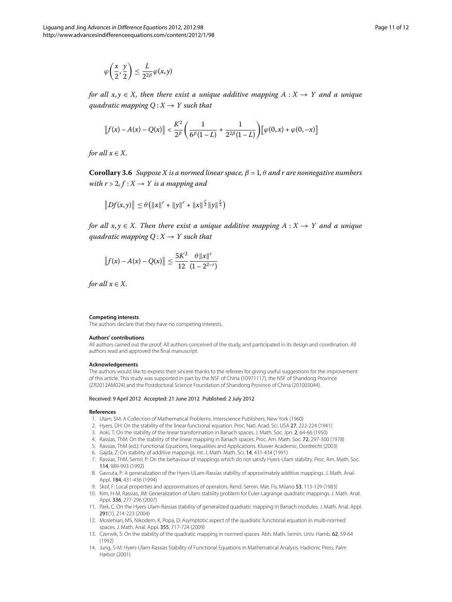$$
\varphi\!\left(\frac{x}{2},\frac{y}{2}\right)\leq \frac{L}{2^{2\beta}}\varphi(x,y)
$$

<span id="page-10-12"></span>*for all*  $x, y \in X$ *, then there exist a unique additive mapping*  $A: X \rightarrow Y$  *and a unique quadratic mapping*  $Q: X \rightarrow Y$  *such that* 

$$
\left\|f(x) - A(x) - Q(x)\right\| < \frac{K^2}{2^{\beta}} \left(\frac{1}{6^{\beta}(1-L)} + \frac{1}{2^{2\beta}(1-L)}\right) \left[\varphi(0,x) + \varphi(0,-x)\right]
$$

*for all*  $x \in X$ *.* 

**Corollary 3.6** *Suppose X is a normed linear space,*  $\beta = 1$ ,  $\theta$  *and r are nonnegative numbers with r* > 2,  $f: X \rightarrow Y$  *is a mapping and* 

$$
||Df(x,y)|| \leq \theta (||x||^{r} + ||y||^{r} + ||x||^{r}||y||^{r})
$$

*for all*  $x, y \in X$ *. Then there exist a unique additive mapping*  $A: X \rightarrow Y$  *and a unique guadratic mapping Q* :  $X \rightarrow Y$  *such that* 

$$
\|f(x) - A(x) - Q(x)\| \le \frac{5K^2}{12} \frac{\theta \|x\|^r}{(1 - 2^{2-r})}
$$

*for all*  $x \in X$ *.* 

#### **Competing interests**

The authors declare that they have no competing interests.

#### **Authors' contributions**

<span id="page-10-0"></span>All authors carried out the proof. All authors conceived of the study, and participated in its design and coordination. All authors read and approved the final manuscript.

#### <span id="page-10-2"></span><span id="page-10-1"></span>**Acknowledgements**

<span id="page-10-5"></span><span id="page-10-4"></span><span id="page-10-3"></span>The authors would like to express their sincere thanks to the referees for giving useful suggestions for the improvement of this article. This study was supported in part by the NSF of China (10971117), the NSF of Shandong Province (ZR2012AM024) and the Postdoctoral Science Foundation of Shandong Province of China (201003044).

#### <span id="page-10-7"></span><span id="page-10-6"></span>Received: 9 April 2012 Accepted: 21 June 2012 Published: 2 July 2012

### <span id="page-10-9"></span><span id="page-10-8"></span>**References**

- 1. Ulam, SM: A Collection of Mathematical Problems. Interscience Publishers, New York (1960)
- 2. Hyers, DH: On the stability of the linear functional equation. Proc. Natl. Acad. Sci. USA 27, 222-224 (1941)
- 3. Aoki, T: On the stability of the linear transformation in Banach spaces. J. Math. Soc. Jpn. 2, 64-66 (1950)
- <span id="page-10-10"></span>4. Rassias, ThM: On the stability of the linear mapping in Banach spaces. Proc. Am. Math. Soc. 72, 297-300 (1978)
- 5. Rassias, ThM (ed.): Functional Equations, Inequalities and Applications. Kluwer Academic, Dordrecht (2003)
- <span id="page-10-11"></span>6. Gajda, Z: On stability of additive mappings. Int. J. Math. Math. Sci. 14, 431-434 (1991)
- 7. Rassias, ThM, Semrl, P: On the behaviour of mappings which do not satisfy Hyers-Ulam stability. Proc. Am. Math. Soc. 114, 989-993 (1992)
- 8. Gavruta, P: A generalization of the Hyers-ULam-Rassias stability of approximately additive mappings. J. Math. Anal. Appl. 184, 431-436 (1994)
- 9. Skof, F: Local properties and approximations of operators. Rend. Semin. Mat. Fis. Milano 53, 113-129 (1983)
- 10. Kim, H-M, Rassias, JM: Generalization of Ulam stability problem for Euler-Lagrange quadratic mappings. J. Math. Anal. Appl. 336, 277-296 (2007)
- 11. Park, C: On the Hyers-Ulam-Rassias stability of generalized quadratic mapping in Banach modules. J. Math. Anal. Appl. 291(1), 214-223 (2004)
- 12. Moslehian, MS, Nikodem, K, Popa, D: Asymptotic aspect of the quadratic functional equation in multi-normed spaces. J. Math. Anal. Appl. 355, 717-724 (2009)
- 13. Czerwik, S: On the stability of the quadratic mapping in normed spaces. Abh. Math. Semin. Univ. Hamb. 62, 59-64 (1992)
- 14. Jung, S-M: Hyers-Ulam-Rassias Stability of Functional Equations in Mathematical Analysis. Hadronic Press, Palm Harbor (2001)